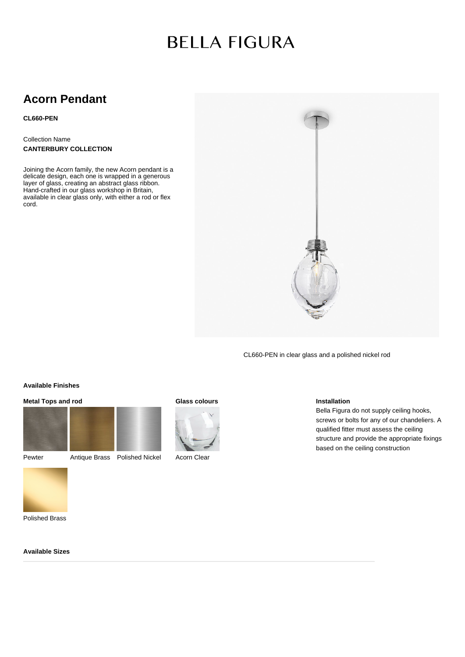# **BELLA FIGURA**

# **Acorn Pendant**

**CL660-PEN**

Collection Name **CANTERBURY COLLECTION**

Joining the Acorn family, the new Acorn pendant is a delicate design, each one is wrapped in a generous layer of glass, creating an abstract glass ribbon. Hand-crafted in our glass workshop in Britain, available in clear glass only, with either a rod or flex cord.



CL660-PEN in clear glass and a polished nickel rod

### **Available Finishes**

## **Metal Tops and rod**





Pewter Antique Brass Polished Nickel

#### **Glass colours**



Acorn Clear

### **Installation**

Bella Figura do not supply ceiling hooks, screws or bolts for any of our chandeliers. A qualified fitter must assess the ceiling structure and provide the appropriate fixings based on the ceiling construction

Polished Brass

**Available Sizes**